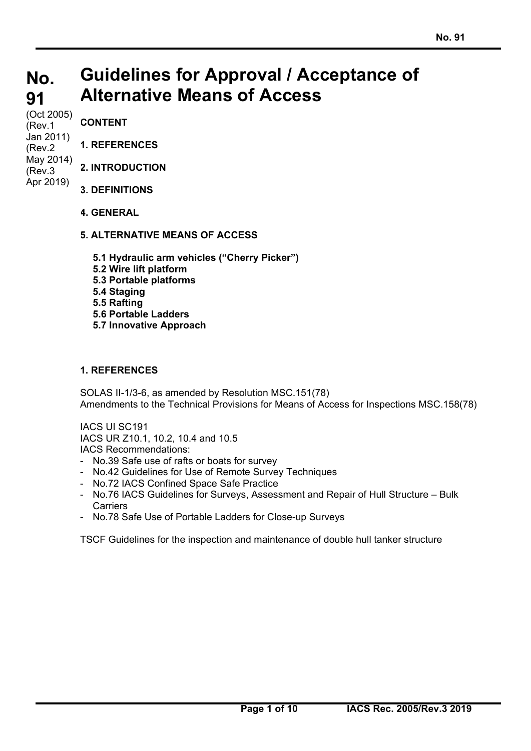#### **No. 91 Guidelines for Approval / Acceptance of Alternative Means of Access**

(Oct 2005) (Rev.1 Jan 2011) (Rev.2 May 2014) (Rev.3 Apr 2019)

**CONTENT** 

- **1. REFERENCES**
- **2. INTRODUCTION**
- **3. DEFINITIONS**
- **4. GENERAL**
- **5. ALTERNATIVE MEANS OF ACCESS** 
	- **5.1 Hydraulic arm vehicles ("Cherry Picker")**
	- **5.2 Wire lift platform**
	- **5.3 Portable platforms**
	- **5.4 Staging**
	- **5.5 Rafting**
	- **5.6 Portable Ladders**
	- **5.7 Innovative Approach**

# **1. REFERENCES**

 $\overline{a}$ 

SOLAS II-1/3-6, as amended by Resolution MSC.151(78) Amendments to the Technical Provisions for Means of Access for Inspections MSC.158(78)

IACS UI SC191 IACS UR Z10.1, 10.2, 10.4 and 10.5 IACS Recommendations:

- No.39 Safe use of rafts or boats for survey
- No.42 Guidelines for Use of Remote Survey Techniques
- No.72 IACS Confined Space Safe Practice
- No.76 IACS Guidelines for Surveys, Assessment and Repair of Hull Structure Bulk **Carriers**
- No.78 Safe Use of Portable Ladders for Close-up Surveys

TSCF Guidelines for the inspection and maintenance of double hull tanker structure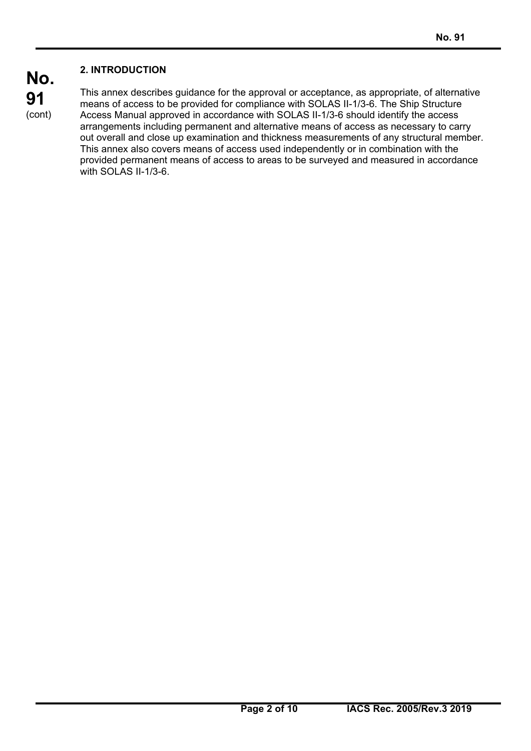# **2. INTRODUCTION**

**No. 91**  (cont)

 $\overline{a}$ 

This annex describes guidance for the approval or acceptance, as appropriate, of alternative means of access to be provided for compliance with SOLAS II-1/3-6. The Ship Structure Access Manual approved in accordance with SOLAS II-1/3-6 should identify the access arrangements including permanent and alternative means of access as necessary to carry out overall and close up examination and thickness measurements of any structural member. This annex also covers means of access used independently or in combination with the provided permanent means of access to areas to be surveyed and measured in accordance with SOLAS II-1/3-6.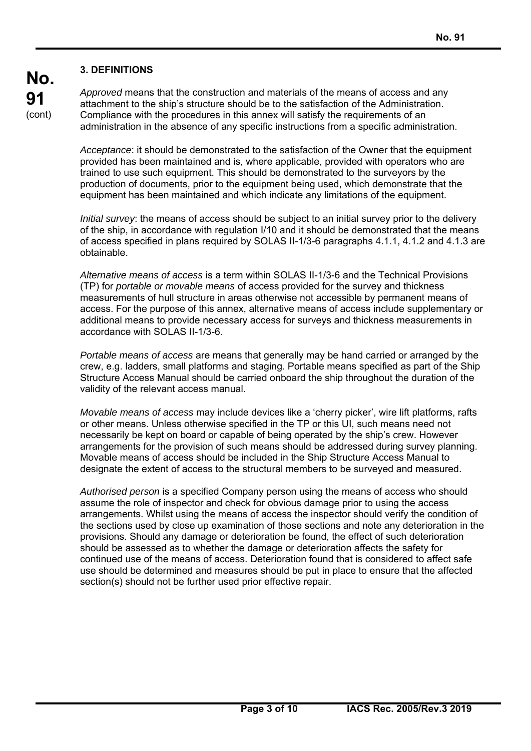### **3. DEFINITIONS**

*Approved* means that the construction and materials of the means of access and any attachment to the ship's structure should be to the satisfaction of the Administration. Compliance with the procedures in this annex will satisfy the requirements of an administration in the absence of any specific instructions from a specific administration.

*Acceptance*: it should be demonstrated to the satisfaction of the Owner that the equipment provided has been maintained and is, where applicable, provided with operators who are trained to use such equipment. This should be demonstrated to the surveyors by the production of documents, prior to the equipment being used, which demonstrate that the equipment has been maintained and which indicate any limitations of the equipment.

*Initial survey*: the means of access should be subject to an initial survey prior to the delivery of the ship, in accordance with regulation I/10 and it should be demonstrated that the means of access specified in plans required by SOLAS II-1/3-6 paragraphs 4.1.1, 4.1.2 and 4.1.3 are obtainable.

*Alternative means of access* is a term within SOLAS II-1/3-6 and the Technical Provisions (TP) for *portable or movable means* of access provided for the survey and thickness measurements of hull structure in areas otherwise not accessible by permanent means of access. For the purpose of this annex, alternative means of access include supplementary or additional means to provide necessary access for surveys and thickness measurements in accordance with SOLAS II-1/3-6.

*Portable means of access* are means that generally may be hand carried or arranged by the crew, e.g. ladders, small platforms and staging. Portable means specified as part of the Ship Structure Access Manual should be carried onboard the ship throughout the duration of the validity of the relevant access manual.

*Movable means of access* may include devices like a 'cherry picker', wire lift platforms, rafts or other means. Unless otherwise specified in the TP or this UI, such means need not necessarily be kept on board or capable of being operated by the ship's crew. However arrangements for the provision of such means should be addressed during survey planning. Movable means of access should be included in the Ship Structure Access Manual to designate the extent of access to the structural members to be surveyed and measured.

*Authorised person* is a specified Company person using the means of access who should assume the role of inspector and check for obvious damage prior to using the access arrangements. Whilst using the means of access the inspector should verify the condition of the sections used by close up examination of those sections and note any deterioration in the provisions. Should any damage or deterioration be found, the effect of such deterioration should be assessed as to whether the damage or deterioration affects the safety for continued use of the means of access. Deterioration found that is considered to affect safe use should be determined and measures should be put in place to ensure that the affected section(s) should not be further used prior effective repair.

 $\overline{a}$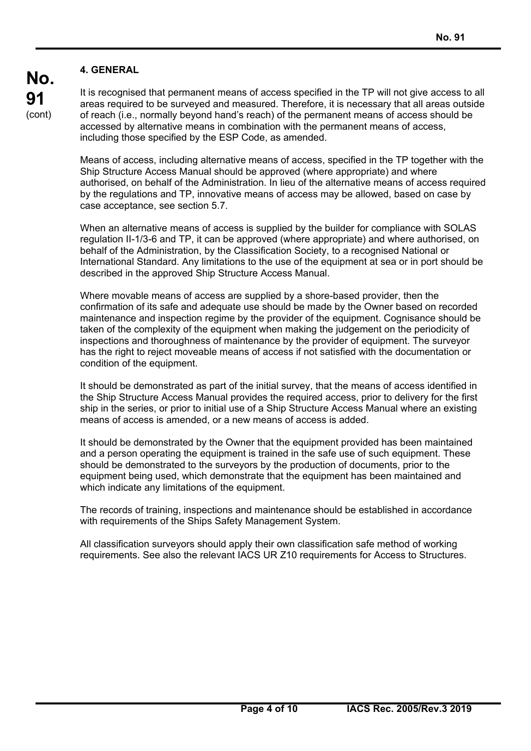# **4. GENERAL**

It is recognised that permanent means of access specified in the TP will not give access to all areas required to be surveyed and measured. Therefore, it is necessary that all areas outside of reach (i.e., normally beyond hand's reach) of the permanent means of access should be accessed by alternative means in combination with the permanent means of access, including those specified by the ESP Code, as amended.

Means of access, including alternative means of access, specified in the TP together with the Ship Structure Access Manual should be approved (where appropriate) and where authorised, on behalf of the Administration. In lieu of the alternative means of access required by the regulations and TP, innovative means of access may be allowed, based on case by case acceptance, see section 5.7.

When an alternative means of access is supplied by the builder for compliance with SOLAS regulation II-1/3-6 and TP, it can be approved (where appropriate) and where authorised, on behalf of the Administration, by the Classification Society, to a recognised National or International Standard. Any limitations to the use of the equipment at sea or in port should be described in the approved Ship Structure Access Manual.

Where movable means of access are supplied by a shore-based provider, then the confirmation of its safe and adequate use should be made by the Owner based on recorded maintenance and inspection regime by the provider of the equipment. Cognisance should be taken of the complexity of the equipment when making the judgement on the periodicity of inspections and thoroughness of maintenance by the provider of equipment. The surveyor has the right to reject moveable means of access if not satisfied with the documentation or condition of the equipment.

It should be demonstrated as part of the initial survey, that the means of access identified in the Ship Structure Access Manual provides the required access, prior to delivery for the first ship in the series, or prior to initial use of a Ship Structure Access Manual where an existing means of access is amended, or a new means of access is added.

It should be demonstrated by the Owner that the equipment provided has been maintained and a person operating the equipment is trained in the safe use of such equipment. These should be demonstrated to the surveyors by the production of documents, prior to the equipment being used, which demonstrate that the equipment has been maintained and which indicate any limitations of the equipment.

The records of training, inspections and maintenance should be established in accordance with requirements of the Ships Safety Management System.

All classification surveyors should apply their own classification safe method of working requirements. See also the relevant IACS UR Z10 requirements for Access to Structures.

 $\overline{a}$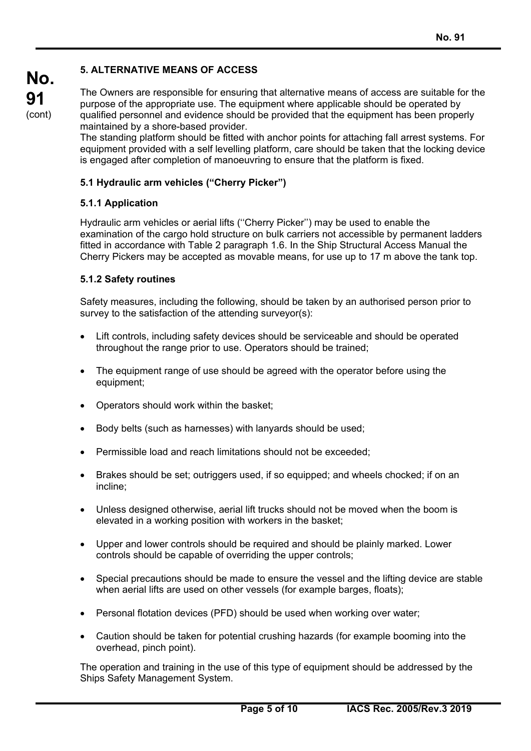## **5. ALTERNATIVE MEANS OF ACCESS**

The Owners are responsible for ensuring that alternative means of access are suitable for the purpose of the appropriate use. The equipment where applicable should be operated by qualified personnel and evidence should be provided that the equipment has been properly maintained by a shore-based provider.

The standing platform should be fitted with anchor points for attaching fall arrest systems. For equipment provided with a self levelling platform, care should be taken that the locking device is engaged after completion of manoeuvring to ensure that the platform is fixed.

### **5.1 Hydraulic arm vehicles ("Cherry Picker")**

### **5.1.1 Application**

Hydraulic arm vehicles or aerial lifts (''Cherry Picker'') may be used to enable the examination of the cargo hold structure on bulk carriers not accessible by permanent ladders fitted in accordance with Table 2 paragraph 1.6. In the Ship Structural Access Manual the Cherry Pickers may be accepted as movable means, for use up to 17 m above the tank top.

### **5.1.2 Safety routines**

 $\overline{a}$ 

Safety measures, including the following, should be taken by an authorised person prior to survey to the satisfaction of the attending surveyor(s):

- Lift controls, including safety devices should be serviceable and should be operated throughout the range prior to use. Operators should be trained;
- The equipment range of use should be agreed with the operator before using the equipment;
- Operators should work within the basket;
- Body belts (such as harnesses) with lanyards should be used;
- Permissible load and reach limitations should not be exceeded;
- Brakes should be set; outriggers used, if so equipped; and wheels chocked; if on an incline;
- Unless designed otherwise, aerial lift trucks should not be moved when the boom is elevated in a working position with workers in the basket;
- Upper and lower controls should be required and should be plainly marked. Lower controls should be capable of overriding the upper controls;
- Special precautions should be made to ensure the vessel and the lifting device are stable when aerial lifts are used on other vessels (for example barges, floats);
- Personal flotation devices (PFD) should be used when working over water;
- Caution should be taken for potential crushing hazards (for example booming into the overhead, pinch point).

The operation and training in the use of this type of equipment should be addressed by the Ships Safety Management System.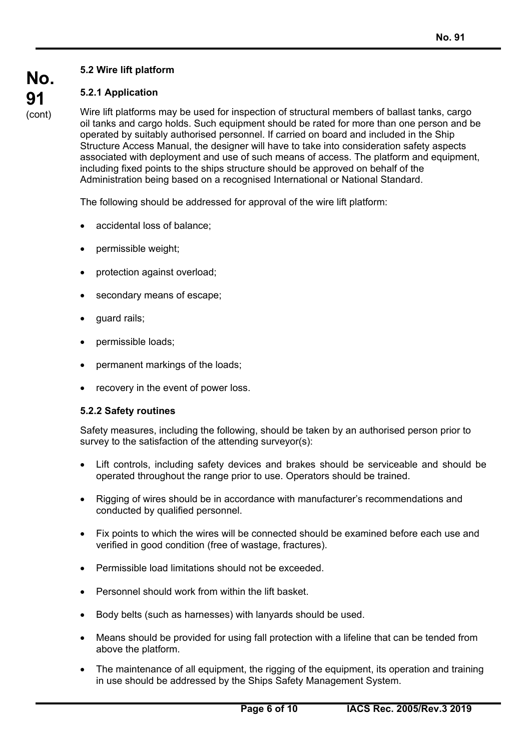# **No. 91**  (cont)

# **5.2 Wire lift platform**

# **5.2.1 Application**

Wire lift platforms may be used for inspection of structural members of ballast tanks, cargo oil tanks and cargo holds. Such equipment should be rated for more than one person and be operated by suitably authorised personnel. If carried on board and included in the Ship Structure Access Manual, the designer will have to take into consideration safety aspects associated with deployment and use of such means of access. The platform and equipment, including fixed points to the ships structure should be approved on behalf of the Administration being based on a recognised International or National Standard.

The following should be addressed for approval of the wire lift platform:

- accidental loss of balance;
- permissible weight;
- protection against overload;
- secondary means of escape;
- guard rails;
- permissible loads;
- permanent markings of the loads;
- recovery in the event of power loss.

## **5.2.2 Safety routines**

 $\overline{a}$ 

Safety measures, including the following, should be taken by an authorised person prior to survey to the satisfaction of the attending surveyor(s):

- Lift controls, including safety devices and brakes should be serviceable and should be operated throughout the range prior to use. Operators should be trained.
- Rigging of wires should be in accordance with manufacturer's recommendations and conducted by qualified personnel.
- Fix points to which the wires will be connected should be examined before each use and verified in good condition (free of wastage, fractures).
- Permissible load limitations should not be exceeded.
- Personnel should work from within the lift basket.
- Body belts (such as harnesses) with lanyards should be used.
- Means should be provided for using fall protection with a lifeline that can be tended from above the platform.
- The maintenance of all equipment, the rigging of the equipment, its operation and training in use should be addressed by the Ships Safety Management System.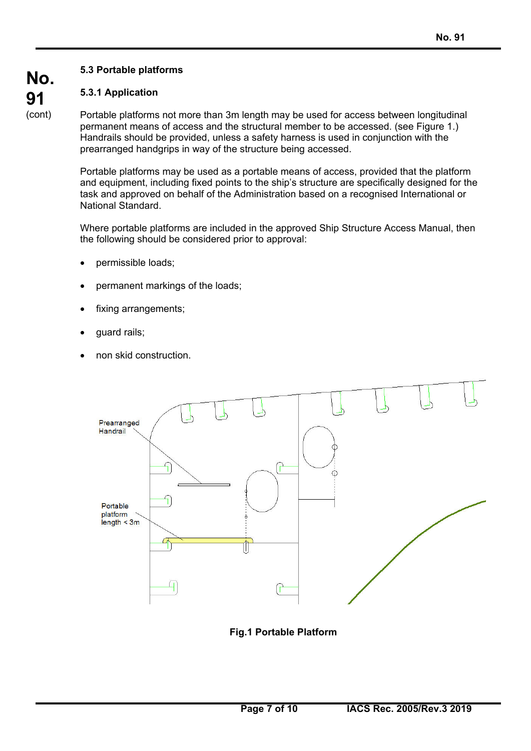# **No. 91**  (cont)

# **5.3 Portable platforms**

# **5.3.1 Application**

Portable platforms not more than 3m length may be used for access between longitudinal permanent means of access and the structural member to be accessed. (see Figure 1.) Handrails should be provided, unless a safety harness is used in conjunction with the prearranged handgrips in way of the structure being accessed.

Portable platforms may be used as a portable means of access, provided that the platform and equipment, including fixed points to the ship's structure are specifically designed for the task and approved on behalf of the Administration based on a recognised International or National Standard.

Where portable platforms are included in the approved Ship Structure Access Manual, then the following should be considered prior to approval:

- permissible loads;
- permanent markings of the loads;
- fixing arrangements;
- guard rails;

 $\overline{a}$ 

non skid construction.



**Fig.1 Portable Platform**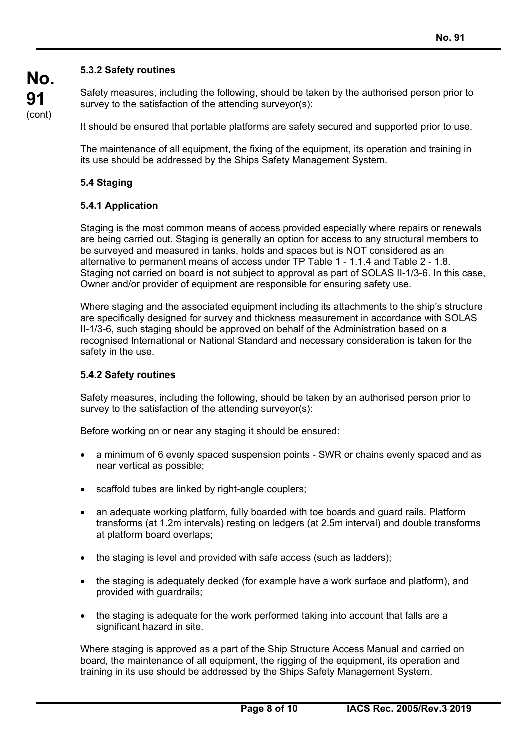# **No. 91**  (cont)

## **5.3.2 Safety routines**

Safety measures, including the following, should be taken by the authorised person prior to survey to the satisfaction of the attending surveyor(s):

It should be ensured that portable platforms are safety secured and supported prior to use.

The maintenance of all equipment, the fixing of the equipment, its operation and training in its use should be addressed by the Ships Safety Management System.

## **5.4 Staging**

### **5.4.1 Application**

Staging is the most common means of access provided especially where repairs or renewals are being carried out. Staging is generally an option for access to any structural members to be surveyed and measured in tanks, holds and spaces but is NOT considered as an alternative to permanent means of access under TP Table 1 - 1.1.4 and Table 2 - 1.8. Staging not carried on board is not subject to approval as part of SOLAS II-1/3-6. In this case, Owner and/or provider of equipment are responsible for ensuring safety use.

Where staging and the associated equipment including its attachments to the ship's structure are specifically designed for survey and thickness measurement in accordance with SOLAS II-1/3-6, such staging should be approved on behalf of the Administration based on a recognised International or National Standard and necessary consideration is taken for the safety in the use.

### **5.4.2 Safety routines**

 $\overline{a}$ 

Safety measures, including the following, should be taken by an authorised person prior to survey to the satisfaction of the attending surveyor(s):

Before working on or near any staging it should be ensured:

- a minimum of 6 evenly spaced suspension points SWR or chains evenly spaced and as near vertical as possible;
- scaffold tubes are linked by right-angle couplers;
- an adequate working platform, fully boarded with toe boards and guard rails. Platform transforms (at 1.2m intervals) resting on ledgers (at 2.5m interval) and double transforms at platform board overlaps;
- the staging is level and provided with safe access (such as ladders);
- the staging is adequately decked (for example have a work surface and platform), and provided with guardrails;
- the staging is adequate for the work performed taking into account that falls are a significant hazard in site.

Where staging is approved as a part of the Ship Structure Access Manual and carried on board, the maintenance of all equipment, the rigging of the equipment, its operation and training in its use should be addressed by the Ships Safety Management System.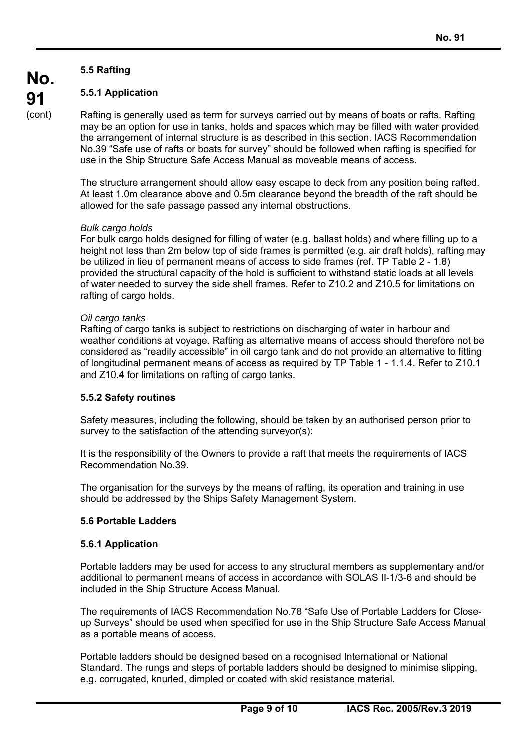# **5.5 Rafting**

**No.** 

**91**  (cont)

# **5.5.1 Application**

Rafting is generally used as term for surveys carried out by means of boats or rafts. Rafting may be an option for use in tanks, holds and spaces which may be filled with water provided the arrangement of internal structure is as described in this section. IACS Recommendation No.39 "Safe use of rafts or boats for survey" should be followed when rafting is specified for use in the Ship Structure Safe Access Manual as moveable means of access.

The structure arrangement should allow easy escape to deck from any position being rafted. At least 1.0m clearance above and 0.5m clearance beyond the breadth of the raft should be allowed for the safe passage passed any internal obstructions.

### *Bulk cargo holds*

For bulk cargo holds designed for filling of water (e.g. ballast holds) and where filling up to a height not less than 2m below top of side frames is permitted (e.g. air draft holds), rafting may be utilized in lieu of permanent means of access to side frames (ref. TP Table 2 - 1.8) provided the structural capacity of the hold is sufficient to withstand static loads at all levels of water needed to survey the side shell frames. Refer to Z10.2 and Z10.5 for limitations on rafting of cargo holds.

### *Oil cargo tanks*

Rafting of cargo tanks is subject to restrictions on discharging of water in harbour and weather conditions at voyage. Rafting as alternative means of access should therefore not be considered as "readily accessible" in oil cargo tank and do not provide an alternative to fitting of longitudinal permanent means of access as required by TP Table 1 - 1.1.4. Refer to Z10.1 and Z10.4 for limitations on rafting of cargo tanks.

## **5.5.2 Safety routines**

Safety measures, including the following, should be taken by an authorised person prior to survey to the satisfaction of the attending surveyor(s):

It is the responsibility of the Owners to provide a raft that meets the requirements of IACS Recommendation No.39.

The organisation for the surveys by the means of rafting, its operation and training in use should be addressed by the Ships Safety Management System.

## **5.6 Portable Ladders**

#### **5.6.1 Application**

 $\overline{a}$ 

Portable ladders may be used for access to any structural members as supplementary and/or additional to permanent means of access in accordance with SOLAS II-1/3-6 and should be included in the Ship Structure Access Manual.

The requirements of IACS Recommendation No.78 "Safe Use of Portable Ladders for Closeup Surveys" should be used when specified for use in the Ship Structure Safe Access Manual as a portable means of access.

Portable ladders should be designed based on a recognised International or National Standard. The rungs and steps of portable ladders should be designed to minimise slipping, e.g. corrugated, knurled, dimpled or coated with skid resistance material.